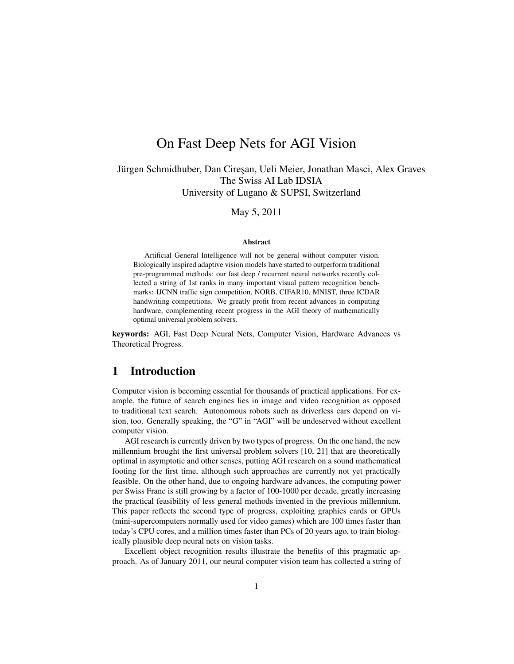# On Fast Deep Nets for AGI Vision

Jürgen Schmidhuber, Dan Cireşan, Ueli Meier, Jonathan Masci, Alex Graves The Swiss AI Lab IDSIA University of Lugano & SUPSI, Switzerland

May 5, 2011

#### Abstract

Artificial General Intelligence will not be general without computer vision. Biologically inspired adaptive vision models have started to outperform traditional pre-programmed methods: our fast deep / recurrent neural networks recently collected a string of 1st ranks in many important visual pattern recognition benchmarks: IJCNN traffic sign competition, NORB, CIFAR10, MNIST, three ICDAR handwriting competitions. We greatly profit from recent advances in computing hardware, complementing recent progress in the AGI theory of mathematically optimal universal problem solvers.

keywords: AGI, Fast Deep Neural Nets, Computer Vision, Hardware Advances vs Theoretical Progress.

## 1 Introduction

Computer vision is becoming essential for thousands of practical applications. For example, the future of search engines lies in image and video recognition as opposed to traditional text search. Autonomous robots such as driverless cars depend on vision, too. Generally speaking, the "G" in "AGI" will be undeserved without excellent computer vision.

AGI research is currently driven by two types of progress. On the one hand, the new millennium brought the first universal problem solvers [10, 21] that are theoretically optimal in asymptotic and other senses, putting AGI research on a sound mathematical footing for the first time, although such approaches are currently not yet practically feasible. On the other hand, due to ongoing hardware advances, the computing power per Swiss Franc is still growing by a factor of 100-1000 per decade, greatly increasing the practical feasibility of less general methods invented in the previous millennium. This paper reflects the second type of progress, exploiting graphics cards or GPUs (mini-supercomputers normally used for video games) which are 100 times faster than today's CPU cores, and a million times faster than PCs of 20 years ago, to train biologically plausible deep neural nets on vision tasks.

Excellent object recognition results illustrate the benefits of this pragmatic approach. As of January 2011, our neural computer vision team has collected a string of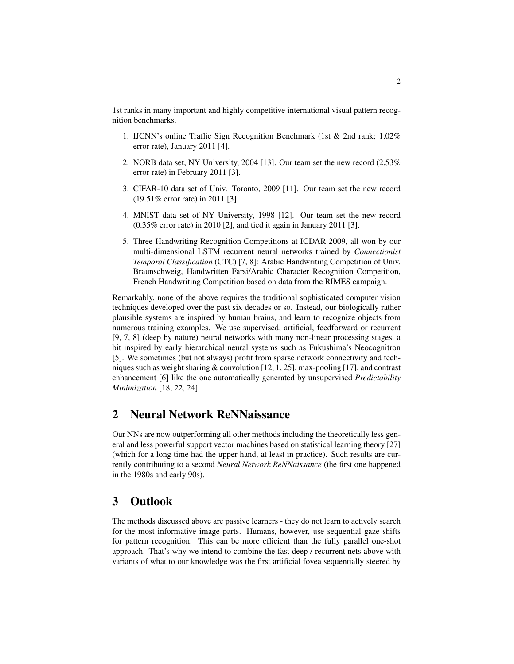1st ranks in many important and highly competitive international visual pattern recognition benchmarks.

- 1. IJCNN's online Traffic Sign Recognition Benchmark (1st & 2nd rank; 1.02% error rate), January 2011 [4].
- 2. NORB data set, NY University, 2004 [13]. Our team set the new record (2.53% error rate) in February 2011 [3].
- 3. CIFAR-10 data set of Univ. Toronto, 2009 [11]. Our team set the new record (19.51% error rate) in 2011 [3].
- 4. MNIST data set of NY University, 1998 [12]. Our team set the new record (0.35% error rate) in 2010 [2], and tied it again in January 2011 [3].
- 5. Three Handwriting Recognition Competitions at ICDAR 2009, all won by our multi-dimensional LSTM recurrent neural networks trained by *Connectionist Temporal Classification* (CTC) [7, 8]: Arabic Handwriting Competition of Univ. Braunschweig, Handwritten Farsi/Arabic Character Recognition Competition, French Handwriting Competition based on data from the RIMES campaign.

Remarkably, none of the above requires the traditional sophisticated computer vision techniques developed over the past six decades or so. Instead, our biologically rather plausible systems are inspired by human brains, and learn to recognize objects from numerous training examples. We use supervised, artificial, feedforward or recurrent [9, 7, 8] (deep by nature) neural networks with many non-linear processing stages, a bit inspired by early hierarchical neural systems such as Fukushima's Neocognitron [5]. We sometimes (but not always) profit from sparse network connectivity and techniques such as weight sharing  $&$  convolution [12, 1, 25], max-pooling [17], and contrast enhancement [6] like the one automatically generated by unsupervised *Predictability Minimization* [18, 22, 24].

## 2 Neural Network ReNNaissance

Our NNs are now outperforming all other methods including the theoretically less general and less powerful support vector machines based on statistical learning theory [27] (which for a long time had the upper hand, at least in practice). Such results are currently contributing to a second *Neural Network ReNNaissance* (the first one happened in the 1980s and early 90s).

#### 3 Outlook

The methods discussed above are passive learners - they do not learn to actively search for the most informative image parts. Humans, however, use sequential gaze shifts for pattern recognition. This can be more efficient than the fully parallel one-shot approach. That's why we intend to combine the fast deep / recurrent nets above with variants of what to our knowledge was the first artificial fovea sequentially steered by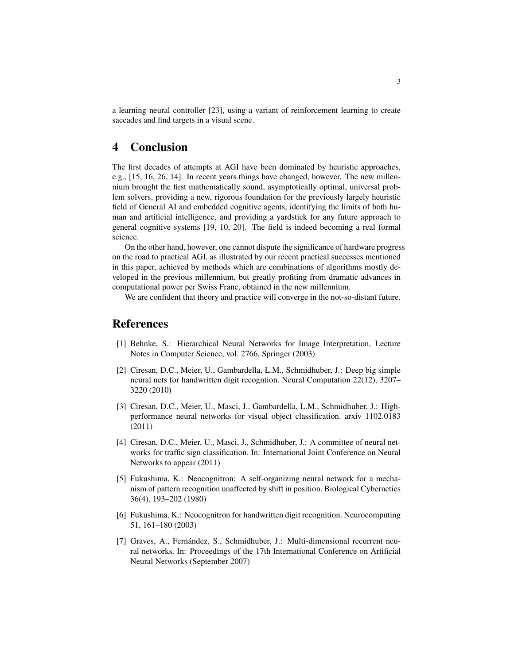a learning neural controller [23], using a variant of reinforcement learning to create saccades and find targets in a visual scene.

## 4 Conclusion

The first decades of attempts at AGI have been dominated by heuristic approaches, e.g., [15, 16, 26, 14]. In recent years things have changed, however. The new millennium brought the first mathematically sound, asymptotically optimal, universal problem solvers, providing a new, rigorous foundation for the previously largely heuristic field of General AI and embedded cognitive agents, identifying the limits of both human and artificial intelligence, and providing a yardstick for any future approach to general cognitive systems [19, 10, 20]. The field is indeed becoming a real formal science.

On the other hand, however, one cannot dispute the significance of hardware progress on the road to practical AGI, as illustrated by our recent practical successes mentioned in this paper, achieved by methods which are combinations of algorithms mostly developed in the previous millennium, but greatly profiting from dramatic advances in computational power per Swiss Franc, obtained in the new millennium.

We are confident that theory and practice will converge in the not-so-distant future.

## **References**

- [1] Behnke, S.: Hierarchical Neural Networks for Image Interpretation, Lecture Notes in Computer Science, vol. 2766. Springer (2003)
- [2] Ciresan, D.C., Meier, U., Gambardella, L.M., Schmidhuber, J.: Deep big simple neural nets for handwritten digit recogntion. Neural Computation 22(12), 3207– 3220 (2010)
- [3] Ciresan, D.C., Meier, U., Masci, J., Gambardella, L.M., Schmidhuber, J.: Highperformance neural networks for visual object classification. arxiv 1102.0183 (2011)
- [4] Ciresan, D.C., Meier, U., Masci, J., Schmidhuber, J.: A committee of neural networks for traffic sign classification. In: International Joint Conference on Neural Networks to appear (2011)
- [5] Fukushima, K.: Neocognitron: A self-organizing neural network for a mechanism of pattern recognition unaffected by shift in position. Biological Cybernetics 36(4), 193–202 (1980)
- [6] Fukushima, K.: Neocognitron for handwritten digit recognition. Neurocomputing 51, 161–180 (2003)
- [7] Graves, A., Fernández, S., Schmidhuber, J.: Multi-dimensional recurrent neural networks. In: Proceedings of the 17th International Conference on Artificial Neural Networks (September 2007)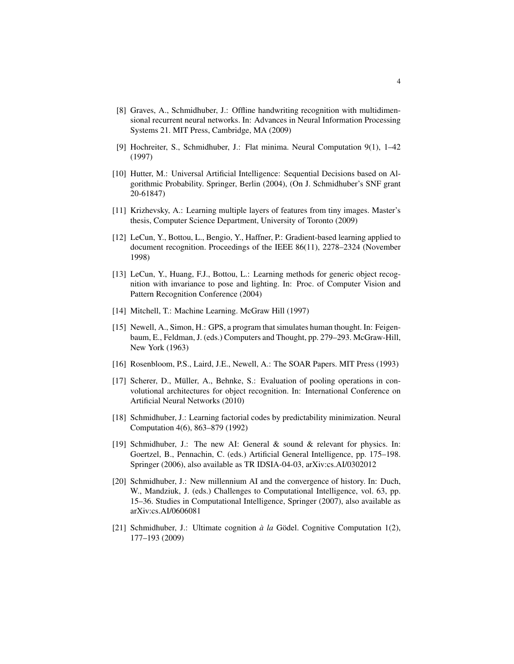- [8] Graves, A., Schmidhuber, J.: Offline handwriting recognition with multidimensional recurrent neural networks. In: Advances in Neural Information Processing Systems 21. MIT Press, Cambridge, MA (2009)
- [9] Hochreiter, S., Schmidhuber, J.: Flat minima. Neural Computation 9(1), 1–42 (1997)
- [10] Hutter, M.: Universal Artificial Intelligence: Sequential Decisions based on Algorithmic Probability. Springer, Berlin (2004), (On J. Schmidhuber's SNF grant 20-61847)
- [11] Krizhevsky, A.: Learning multiple layers of features from tiny images. Master's thesis, Computer Science Department, University of Toronto (2009)
- [12] LeCun, Y., Bottou, L., Bengio, Y., Haffner, P.: Gradient-based learning applied to document recognition. Proceedings of the IEEE 86(11), 2278–2324 (November 1998)
- [13] LeCun, Y., Huang, F.J., Bottou, L.: Learning methods for generic object recognition with invariance to pose and lighting. In: Proc. of Computer Vision and Pattern Recognition Conference (2004)
- [14] Mitchell, T.: Machine Learning. McGraw Hill (1997)
- [15] Newell, A., Simon, H.: GPS, a program that simulates human thought. In: Feigenbaum, E., Feldman, J. (eds.) Computers and Thought, pp. 279–293. McGraw-Hill, New York (1963)
- [16] Rosenbloom, P.S., Laird, J.E., Newell, A.: The SOAR Papers. MIT Press (1993)
- [17] Scherer, D., Müller, A., Behnke, S.: Evaluation of pooling operations in convolutional architectures for object recognition. In: International Conference on Artificial Neural Networks (2010)
- [18] Schmidhuber, J.: Learning factorial codes by predictability minimization. Neural Computation 4(6), 863–879 (1992)
- [19] Schmidhuber, J.: The new AI: General & sound & relevant for physics. In: Goertzel, B., Pennachin, C. (eds.) Artificial General Intelligence, pp. 175–198. Springer (2006), also available as TR IDSIA-04-03, arXiv:cs.AI/0302012
- [20] Schmidhuber, J.: New millennium AI and the convergence of history. In: Duch, W., Mandziuk, J. (eds.) Challenges to Computational Intelligence, vol. 63, pp. 15–36. Studies in Computational Intelligence, Springer (2007), also available as arXiv:cs.AI/0606081
- [21] Schmidhuber, J.: Ultimate cognition  $\dot{a}$  *la* Gödel. Cognitive Computation 1(2), 177–193 (2009)